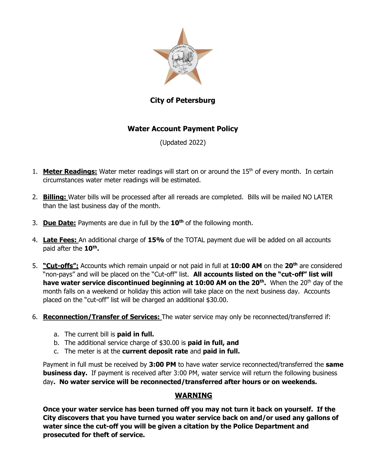

# **City of Petersburg**

## **Water Account Payment Policy**

(Updated 2022)

- 1. **Meter Readings:** Water meter readings will start on or around the 15<sup>th</sup> of every month. In certain circumstances water meter readings will be estimated.
- 2. **Billing:** Water bills will be processed after all rereads are completed. Bills will be mailed NO LATER than the last business day of the month.
- 3. **Due Date:** Payments are due in full by the **10 th** of the following month.
- 4. **Late Fees:** An additional charge of **15%** of the TOTAL payment due will be added on all accounts paid after the **10th .**
- 5. **"Cut-offs":** Accounts which remain unpaid or not paid in full at **10:00 AM** on the **20th** are considered "non-pays" and will be placed on the "Cut-off" list. **All accounts listed on the "cut-off" list will have water service discontinued beginning at 10:00 AM on the 20<sup>th</sup>. When the 20<sup>th</sup> day of the** month falls on a weekend or holiday this action will take place on the next business day. Accounts placed on the "cut-off" list will be charged an additional \$30.00.
- 6. **Reconnection/Transfer of Services:** The water service may only be reconnected/transferred if:
	- a. The current bill is **paid in full.**
	- b. The additional service charge of \$30.00 is **paid in full, and**
	- c. The meter is at the **current deposit rate** and **paid in full.**

Payment in full must be received by **3:00 PM** to have water service reconnected/transferred the **same business day.** If payment is received after 3:00 PM, water service will return the following business day**. No water service will be reconnected/transferred after hours or on weekends.**

#### **WARNING**

**Once your water service has been turned off you may not turn it back on yourself. If the City discovers that you have turned you water service back on and/or used any gallons of water since the cut-off you will be given a citation by the Police Department and prosecuted for theft of service.**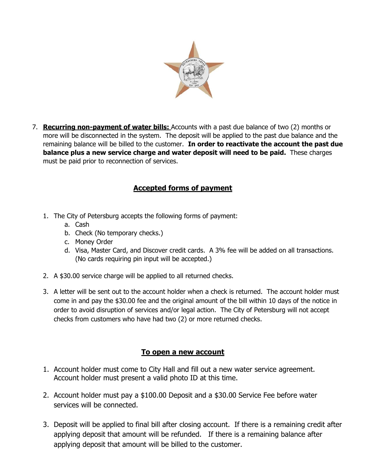

7. **Recurring non-payment of water bills:** Accounts with a past due balance of two (2) months or more will be disconnected in the system. The deposit will be applied to the past due balance and the remaining balance will be billed to the customer. **In order to reactivate the account the past due balance plus a new service charge and water deposit will need to be paid.** These charges must be paid prior to reconnection of services.

## **Accepted forms of payment**

- 1. The City of Petersburg accepts the following forms of payment:
	- a. Cash
	- b. Check (No temporary checks.)
	- c. Money Order
	- d. Visa, Master Card, and Discover credit cards. A 3% fee will be added on all transactions. (No cards requiring pin input will be accepted.)
- 2. A \$30.00 service charge will be applied to all returned checks.
- 3. A letter will be sent out to the account holder when a check is returned. The account holder must come in and pay the \$30.00 fee and the original amount of the bill within 10 days of the notice in order to avoid disruption of services and/or legal action. The City of Petersburg will not accept checks from customers who have had two (2) or more returned checks.

#### **To open a new account**

- 1. Account holder must come to City Hall and fill out a new water service agreement. Account holder must present a valid photo ID at this time.
- 2. Account holder must pay a \$100.00 Deposit and a \$30.00 Service Fee before water services will be connected.
- 3. Deposit will be applied to final bill after closing account. If there is a remaining credit after applying deposit that amount will be refunded. If there is a remaining balance after applying deposit that amount will be billed to the customer.